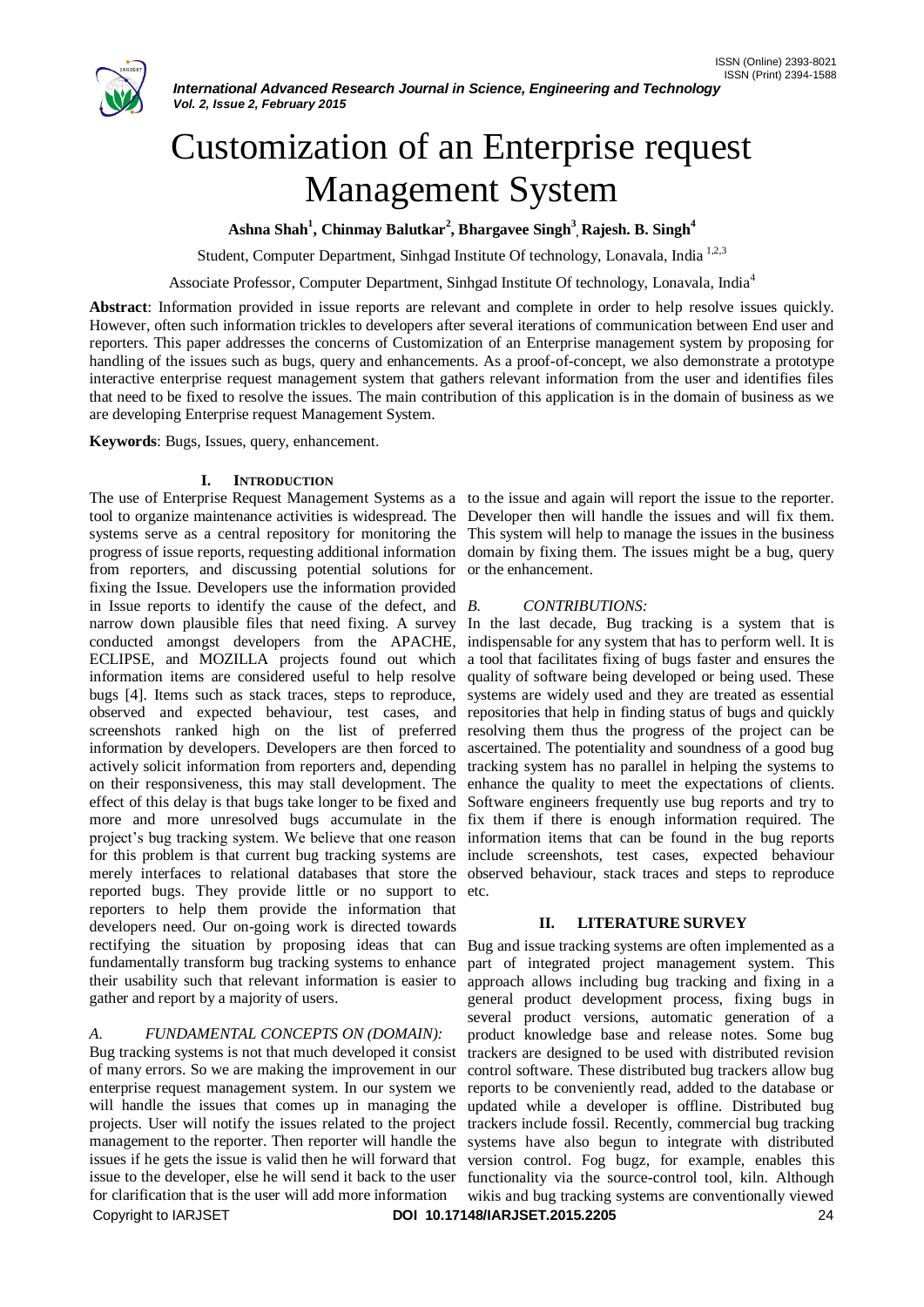

# Customization of an Enterprise request Management System

**Ashna Shah<sup>1</sup> , Chinmay Balutkar<sup>2</sup> , Bhargavee Singh<sup>3</sup> , Rajesh. B. Singh<sup>4</sup>**

Student, Computer Department, Sinhgad Institute Of technology, Lonavala, India<sup>1,2,3</sup>

Associate Professor, Computer Department, Sinhgad Institute Of technology, Lonavala, India<sup>4</sup>

**Abstract**: Information provided in issue reports are relevant and complete in order to help resolve issues quickly. However, often such information trickles to developers after several iterations of communication between End user and reporters. This paper addresses the concerns of Customization of an Enterprise management system by proposing for handling of the issues such as bugs, query and enhancements. As a proof-of-concept, we also demonstrate a prototype interactive enterprise request management system that gathers relevant information from the user and identifies files that need to be fixed to resolve the issues. The main contribution of this application is in the domain of business as we are developing Enterprise request Management System.

**Keywords**: Bugs, Issues, query, enhancement.

#### **I. INTRODUCTION**

tool to organize maintenance activities is widespread. The Developer then will handle the issues and will fix them. systems serve as a central repository for monitoring the This system will help to manage the issues in the business progress of issue reports, requesting additional information domain by fixing them. The issues might be a bug, query from reporters, and discussing potential solutions for or the enhancement. fixing the Issue. Developers use the information provided in Issue reports to identify the cause of the defect, and  $B$ . narrow down plausible files that need fixing. A survey In the last decade, Bug tracking is a system that is conducted amongst developers from the APACHE, indispensable for any system that has to perform well. It is ECLIPSE, and MOZILLA projects found out which a tool that facilitates fixing of bugs faster and ensures the information items are considered useful to help resolve quality of software being developed or being used. These bugs [4]. Items such as stack traces, steps to reproduce, observed and expected behaviour, test cases, and repositories that help in finding status of bugs and quickly screenshots ranked high on the list of preferred information by developers. Developers are then forced to actively solicit information from reporters and, depending on their responsiveness, this may stall development. The effect of this delay is that bugs take longer to be fixed and more and more unresolved bugs accumulate in the fix them if there is enough information required. The project's bug tracking system. We believe that one reason information items that can be found in the bug reports for this problem is that current bug tracking systems are include screenshots, test cases, expected behaviour merely interfaces to relational databases that store the observed behaviour, stack traces and steps to reproduce reported bugs. They provide little or no support to reporters to help them provide the information that developers need. Our on-going work is directed towards rectifying the situation by proposing ideas that can Bug and issue tracking systems are often implemented as a fundamentally transform bug tracking systems to enhance their usability such that relevant information is easier to gather and report by a majority of users.

# *A. FUNDAMENTAL CONCEPTS ON (DOMAIN):*

Copyright to IARJSET **DOI 10.17148/IARJSET.2015.2205** 24 Bug tracking systems is not that much developed it consist of many errors. So we are making the improvement in our enterprise request management system. In our system we will handle the issues that comes up in managing the projects. User will notify the issues related to the project management to the reporter. Then reporter will handle the issues if he gets the issue is valid then he will forward that issue to the developer, else he will send it back to the user for clarification that is the user will add more information

The use of Enterprise Request Management Systems as a to the issue and again will report the issue to the reporter.

# *B. CONTRIBUTIONS:*

systems are widely used and they are treated as essential resolving them thus the progress of the project can be ascertained. The potentiality and soundness of a good bug tracking system has no parallel in helping the systems to enhance the quality to meet the expectations of clients. Software engineers frequently use bug reports and try to etc.

# **II. LITERATURE SURVEY**

part of integrated project management system. This approach allows including bug tracking and fixing in a general product development process, fixing bugs in several product versions, automatic generation of a product knowledge base and release notes. Some bug trackers are designed to be used with distributed revision control software. These distributed bug trackers allow bug reports to be conveniently read, added to the database or updated while a developer is offline. Distributed bug trackers include fossil. Recently, commercial bug tracking systems have also begun to integrate with distributed version control. Fog bugz, for example, enables this functionality via the source-control tool, kiln. Although wikis and bug tracking systems are conventionally viewed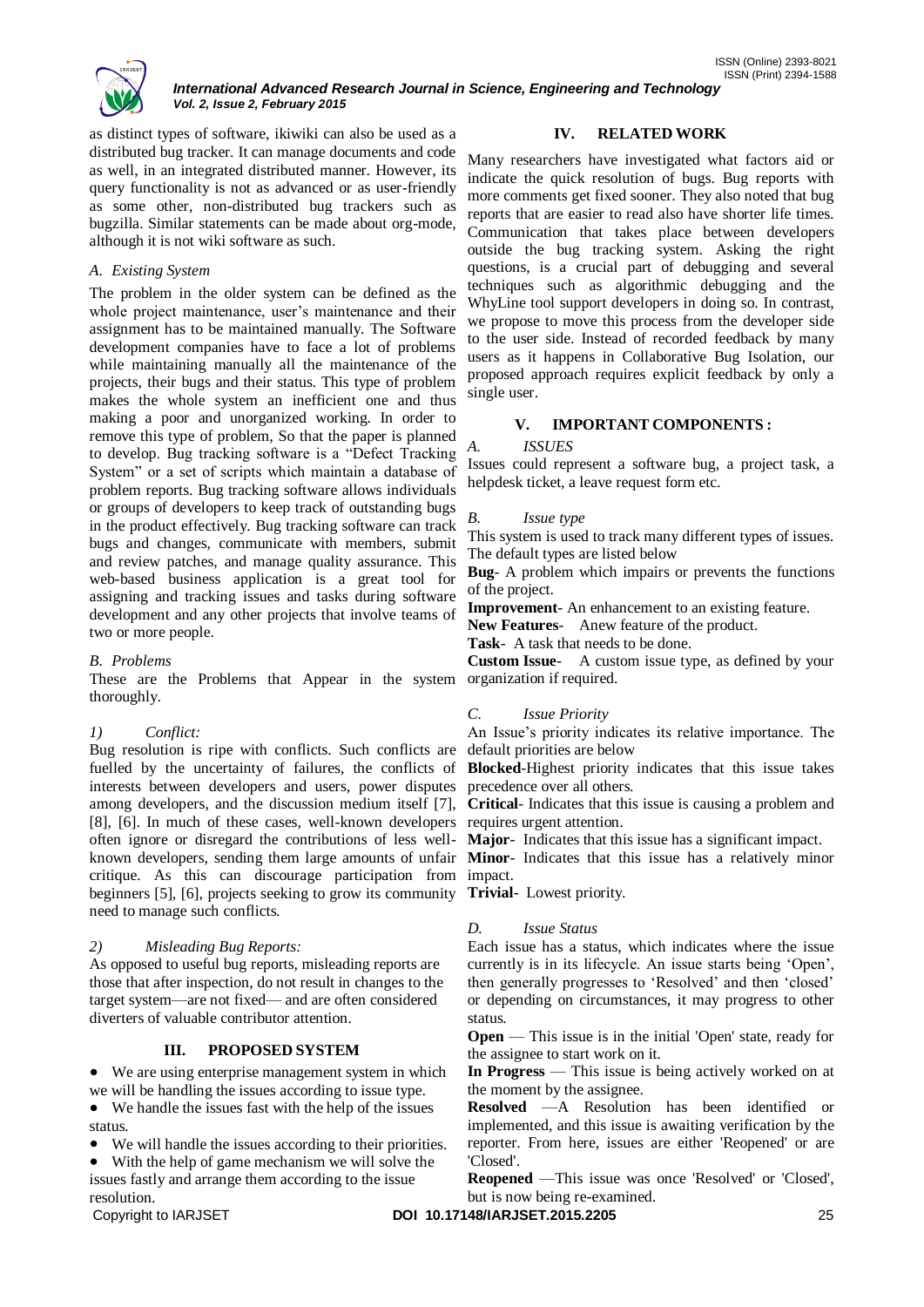

as distinct types of software, ikiwiki can also be used as a distributed bug tracker. It can manage documents and code as well, in an integrated distributed manner. However, its query functionality is not as advanced or as user-friendly as some other, non-distributed bug trackers such as bugzilla. Similar statements can be made about org-mode, although it is not wiki software as such.

#### *A. Existing System*

The problem in the older system can be defined as the whole project maintenance, user's maintenance and their assignment has to be maintained manually. The Software development companies have to face a lot of problems while maintaining manually all the maintenance of the projects, their bugs and their status. This type of problem makes the whole system an inefficient one and thus making a poor and unorganized working. In order to remove this type of problem, So that the paper is planned to develop. Bug tracking software is a "Defect Tracking" System" or a set of scripts which maintain a database of problem reports. Bug tracking software allows individuals or groups of developers to keep track of outstanding bugs in the product effectively. Bug tracking software can track bugs and changes, communicate with members, submit and review patches, and manage quality assurance. This web-based business application is a great tool for assigning and tracking issues and tasks during software development and any other projects that involve teams of two or more people.

#### *B. Problems*

These are the Problems that Appear in the system thoroughly.

# *1) Conflict:*

Bug resolution is ripe with conflicts. Such conflicts are fuelled by the uncertainty of failures, the conflicts of interests between developers and users, power disputes precedence over all others. [8], [6]. In much of these cases, well-known developers requires urgent attention. often ignore or disregard the contributions of less well-**Major**- Indicates that this issue has a significant impact. known developers, sending them large amounts of unfair **Minor**- Indicates that this issue has a relatively minor critique. As this can discourage participation from impact. beginners [5], [6], projects seeking to grow its community **Trivial**- Lowest priority. need to manage such conflicts.

# *2) Misleading Bug Reports:*

As opposed to useful bug reports, misleading reports are those that after inspection, do not result in changes to the target system—are not fixed— and are often considered diverters of valuable contributor attention.

#### **III. PROPOSED SYSTEM**

 We are using enterprise management system in which we will be handling the issues according to issue type.

 We handle the issues fast with the help of the issues status.

We will handle the issues according to their priorities.

 With the help of game mechanism we will solve the issues fastly and arrange them according to the issue resolution.

# **IV. RELATED WORK**

ISSN (Online) 2393-8021

Many researchers have investigated what factors aid or indicate the quick resolution of bugs. Bug reports with more comments get fixed sooner. They also noted that bug reports that are easier to read also have shorter life times. Communication that takes place between developers outside the bug tracking system. Asking the right questions, is a crucial part of debugging and several techniques such as algorithmic debugging and the WhyLine tool support developers in doing so. In contrast, we propose to move this process from the developer side to the user side. Instead of recorded feedback by many users as it happens in Collaborative Bug Isolation, our proposed approach requires explicit feedback by only a single user.

#### **V. IMPORTANT COMPONENTS :**

#### *A. ISSUES*

Issues could represent a software bug, a project task, a helpdesk ticket, a leave request form etc.

#### *B. Issue type*

This system is used to track many different types of issues. The default types are listed below

**Bug**- A problem which impairs or prevents the functions of the project.

**Improvement**- An enhancement to an existing feature.

**New Features**- Anew feature of the product.

**Task**- A task that needs to be done.

**Custom Issue**- A custom issue type, as defined by your organization if required.

# *C. Issue Priority*

An Issue's priority indicates its relative importance. The default priorities are below

**Blocked**-Highest priority indicates that this issue takes

among developers, and the discussion medium itself [7], **Critical**- Indicates that this issue is causing a problem and

#### *D. Issue Status*

Each issue has a status, which indicates where the issue currently is in its lifecycle. An issue starts being 'Open', then generally progresses to 'Resolved' and then 'closed' or depending on circumstances, it may progress to other status.

**Open** — This issue is in the initial 'Open' state, ready for the assignee to start work on it.

**In Progress** — This issue is being actively worked on at the moment by the assignee.

**Resolved** —A Resolution has been identified or implemented, and this issue is awaiting verification by the reporter. From here, issues are either 'Reopened' or are 'Closed'.

**Reopened** —This issue was once 'Resolved' or 'Closed', but is now being re-examined.

Copyright to IARJSET **DOI 10.17148/IARJSET.2015.2205** 25